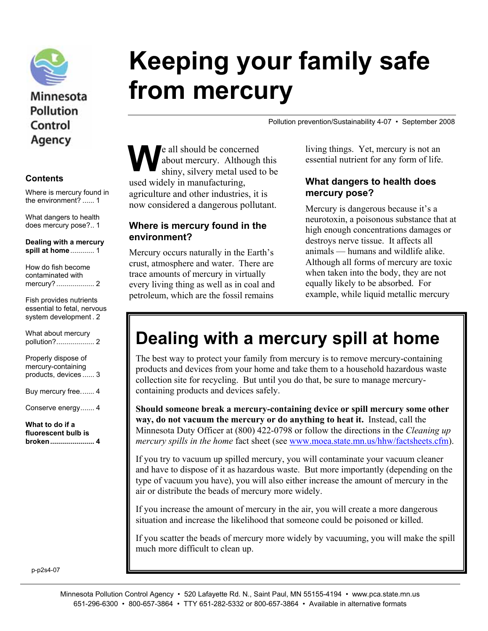

## Minnesota **Pollution** Control Agency

#### **Contents**

Where is mercury found in the environment? ...... 1

What dangers to health does mercury pose?.. 1

**Dealing with a mercury spill at home**............ 1

| How do fish become<br>contaminated with                                         |
|---------------------------------------------------------------------------------|
| Fish provides nutrients<br>essential to fetal, nervous<br>system development. 2 |
| What about mercury                                                              |

| What to do if a                                                   |  |
|-------------------------------------------------------------------|--|
| Conserve energy 4                                                 |  |
| Buy mercury free4                                                 |  |
| Properly dispose of<br>mercury-containing<br>products, devices  3 |  |
| <b><i>IVIIIOL GUUUL IIIUIUUI Y</i></b>                            |  |

**fluorescent bulb is broken...................... 4** 

# **Keeping your family safe from mercury**

Pollution prevention/Sustainability 4-07 • September 2008

e all should be concerned about mercury. Although this shiny, silvery metal used to be used widely in manufacturing, agriculture and other industries, it is now considered a dangerous pollutant.  $\mathbf{W}^{\text{e} \text{ ab}}_{\text{shi}}$ 

#### **Where is mercury found in the environment?**

Mercury occurs naturally in the Earth's crust, atmosphere and water. There are trace amounts of mercury in virtually every living thing as well as in coal and petroleum, which are the fossil remains

living things. Yet, mercury is not an essential nutrient for any form of life.

#### **What dangers to health does mercury pose?**

Mercury is dangerous because it's a neurotoxin, a poisonous substance that at high enough concentrations damages or destroys nerve tissue. It affects all animals — humans and wildlife alike. Although all forms of mercury are toxic when taken into the body, they are not equally likely to be absorbed. For example, while liquid metallic mercury

# **Dealing with a mercury spill at home**

The best way to protect your family from mercury is to remove mercury-containing products and devices from your home and take them to a household hazardous waste collection site for recycling. But until you do that, be sure to manage mercurycontaining products and devices safely.

**Should someone break a mercury-containing device or spill mercury some other way, do not vacuum the mercury or do anything to heat it.** Instead, call the Minnesota Duty Officer at (800) 422-0798 or follow the directions in the *Cleaning up mercury spills in the home* fact sheet (see www.moea.state.mn.us/hhw/factsheets.cfm).

If you try to vacuum up spilled mercury, you will contaminate your vacuum cleaner and have to dispose of it as hazardous waste. But more importantly (depending on the type of vacuum you have), you will also either increase the amount of mercury in the air or distribute the beads of mercury more widely.

If you increase the amount of mercury in the air, you will create a more dangerous situation and increase the likelihood that someone could be poisoned or killed.

If you scatter the beads of mercury more widely by vacuuming, you will make the spill much more difficult to clean up.

p-p2s4-07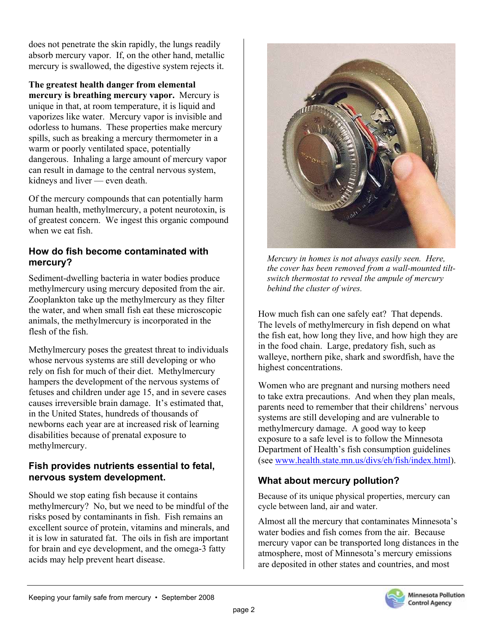does not penetrate the skin rapidly, the lungs readily absorb mercury vapor. If, on the other hand, metallic mercury is swallowed, the digestive system rejects it.

**The greatest health danger from elemental mercury is breathing mercury vapor.** Mercury is unique in that, at room temperature, it is liquid and vaporizes like water. Mercury vapor is invisible and odorless to humans. These properties make mercury spills, such as breaking a mercury thermometer in a warm or poorly ventilated space, potentially dangerous. Inhaling a large amount of mercury vapor can result in damage to the central nervous system, kidneys and liver — even death.

Of the mercury compounds that can potentially harm human health, methylmercury, a potent neurotoxin, is of greatest concern. We ingest this organic compound when we eat fish.

#### **How do fish become contaminated with mercury?**

Sediment-dwelling bacteria in water bodies produce methylmercury using mercury deposited from the air. Zooplankton take up the methylmercury as they filter the water, and when small fish eat these microscopic animals, the methylmercury is incorporated in the flesh of the fish.

Methylmercury poses the greatest threat to individuals whose nervous systems are still developing or who rely on fish for much of their diet. Methylmercury hampers the development of the nervous systems of fetuses and children under age 15, and in severe cases causes irreversible brain damage. It's estimated that, in the United States, hundreds of thousands of newborns each year are at increased risk of learning disabilities because of prenatal exposure to methylmercury.

#### **Fish provides nutrients essential to fetal, nervous system development.**

Should we stop eating fish because it contains methylmercury? No, but we need to be mindful of the risks posed by contaminants in fish. Fish remains an excellent source of protein, vitamins and minerals, and it is low in saturated fat. The oils in fish are important for brain and eye development, and the omega-3 fatty acids may help prevent heart disease.



*Mercury in homes is not always easily seen. Here, the cover has been removed from a wall-mounted tiltswitch thermostat to reveal the ampule of mercury behind the cluster of wires.* 

How much fish can one safely eat? That depends. The levels of methylmercury in fish depend on what the fish eat, how long they live, and how high they are in the food chain. Large, predatory fish, such as walleye, northern pike, shark and swordfish, have the highest concentrations.

Women who are pregnant and nursing mothers need to take extra precautions. And when they plan meals, parents need to remember that their childrens' nervous systems are still developing and are vulnerable to methylmercury damage. A good way to keep exposure to a safe level is to follow the Minnesota Department of Health's fish consumption guidelines (see www.health.state.mn.us/divs/eh/fish/index.html).

#### **What about mercury pollution?**

Because of its unique physical properties, mercury can cycle between land, air and water.

Almost all the mercury that contaminates Minnesota's water bodies and fish comes from the air. Because mercury vapor can be transported long distances in the atmosphere, most of Minnesota's mercury emissions are deposited in other states and countries, and most

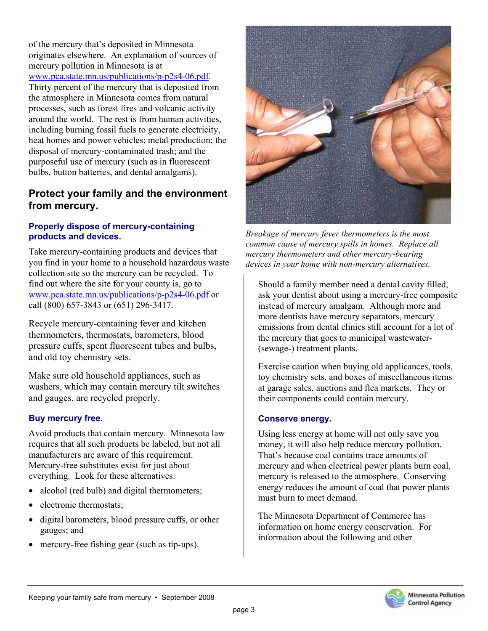of the mercury that's deposited in Minnesota originates elsewhere. An explanation of sources of mercury pollution in Minnesota is at www.pca.state.mn.us/publications/p-p2s4-06.pdf. Thirty percent of the mercury that is deposited from the atmosphere in Minnesota comes from natural processes, such as forest fires and volcanic activity around the world. The rest is from human activities, including burning fossil fuels to generate electricity, heat homes and power vehicles; metal production; the disposal of mercury-contaminated trash; and the purposeful use of mercury (such as in fluorescent bulbs, button batteries, and dental amalgams).

#### **Protect your family and the environment from mercury.**

#### **Properly dispose of mercury-containing products and devices.**

Take mercury-containing products and devices that you find in your home to a household hazardous waste collection site so the mercury can be recycled. To find out where the site for your county is, go to www.pca.state.mn.us/publications/p-p2s4-06.pdf or call (800) 657-3843 or (651) 296-3417.

Recycle mercury-containing fever and kitchen thermometers, thermostats, barometers, blood pressure cuffs, spent fluorescent tubes and bulbs, and old toy chemistry sets.

Make sure old household appliances, such as washers, which may contain mercury tilt switches and gauges, are recycled properly.

#### **Buy mercury free.**

Avoid products that contain mercury. Minnesota law requires that all such products be labeled, but not all manufacturers are aware of this requirement. Mercury-free substitutes exist for just about everything. Look for these alternatives:

- alcohol (red bulb) and digital thermometers;
- electronic thermostats:
- digital barometers, blood pressure cuffs, or other gauges; and
- mercury-free fishing gear (such as tip-ups).



*Breakage of mercury fever thermometers is the most common cause of mercury spills in homes. Replace all mercury thermometers and other mercury-bearing devices in your home with non-mercury alternatives.* 

Should a family member need a dental cavity filled, ask your dentist about using a mercury-free composite instead of mercury amalgam. Although more and more dentists have mercury separators, mercury emissions from dental clinics still account for a lot of the mercury that goes to municipal wastewater- (sewage-) treatment plants.

Exercise caution when buying old applicances, tools, toy chemistry sets, and boxes of miscellaneous items at garage sales, auctions and flea markets. They or their components could contain mercury.

#### **Conserve energy.**

Using less energy at home will not only save you money, it will also help reduce mercury pollution. That's because coal contains trace amounts of mercury and when electrical power plants burn coal, mercury is released to the atmosphere. Conserving energy reduces the amount of coal that power plants must burn to meet demand.

The Minnesota Department of Commerce has information on home energy conservation. For information about the following and other